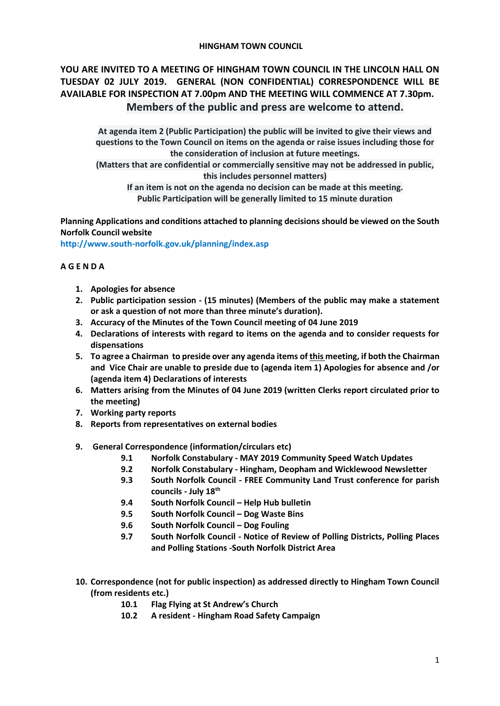## **HINGHAM TOWN COUNCIL**

# **YOU ARE INVITED TO A MEETING OF HINGHAM TOWN COUNCIL IN THE LINCOLN HALL ON TUESDAY 02 JULY 2019. GENERAL (NON CONFIDENTIAL) CORRESPONDENCE WILL BE AVAILABLE FOR INSPECTION AT 7.00pm AND THE MEETING WILL COMMENCE AT 7.30pm. Members of the public and press are welcome to attend.**

**At agenda item 2 (Public Participation) the public will be invited to give their views and questions to the Town Council on items on the agenda or raise issues including those for the consideration of inclusion at future meetings.**

**(Matters that are confidential or commercially sensitive may not be addressed in public, this includes personnel matters)**

**If an item is not on the agenda no decision can be made at this meeting. Public Participation will be generally limited to 15 minute duration**

**Planning Applications and conditions attached to planning decisions should be viewed on the South Norfolk Council website** 

**<http://www.south-norfolk.gov.uk/planning/index.asp>**

# **A G E N D A**

- **1. Apologies for absence**
- **2. Public participation session - (15 minutes) (Members of the public may make a statement or ask a question of not more than three minute's duration).**
- **3. Accuracy of the Minutes of the Town Council meeting of 04 June 2019**
- **4. Declarations of interests with regard to items on the agenda and to consider requests for dispensations**
- **5. To agree a Chairman to preside over any agenda items of this meeting, if both the Chairman and Vice Chair are unable to preside due to (agenda item 1) Apologies for absence and /or (agenda item 4) Declarations of interests**
- **6. Matters arising from the Minutes of 04 June 2019 (written Clerks report circulated prior to the meeting)**
- **7. Working party reports**
- **8. Reports from representatives on external bodies**
- **9. General Correspondence (information/circulars etc)**
	- **9.1 Norfolk Constabulary - MAY 2019 Community Speed Watch Updates**
	- **9.2 Norfolk Constabulary - Hingham, Deopham and Wicklewood Newsletter**
	- **9.3 South Norfolk Council - FREE Community Land Trust conference for parish councils - July 18th**
	- **9.4 South Norfolk Council – Help Hub bulletin**
	- **9.5 South Norfolk Council – Dog Waste Bins**
	- **9.6 South Norfolk Council – Dog Fouling**
	- **9.7 South Norfolk Council - Notice of Review of Polling Districts, Polling Places and Polling Stations -South Norfolk District Area**
- **10. Correspondence (not for public inspection) as addressed directly to Hingham Town Council (from residents etc.)**
	- **10.1 Flag Flying at St Andrew's Church**
	- **10.2 A resident - Hingham Road Safety Campaign**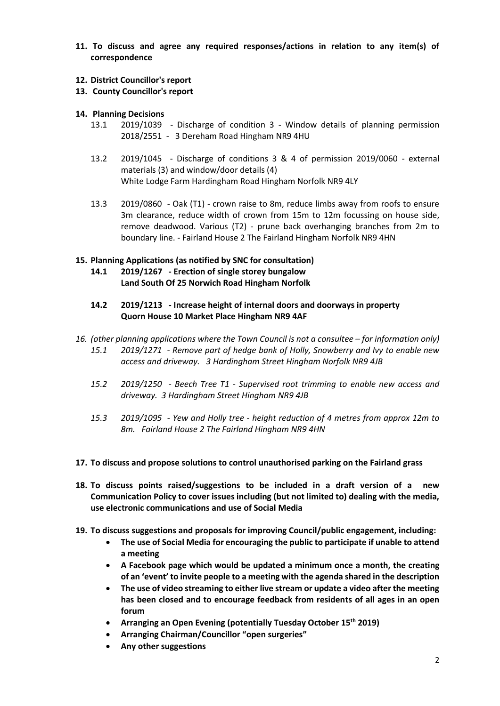- **11. To discuss and agree any required responses/actions in relation to any item(s) of correspondence**
- **12. District Councillor's report**
- **13. County Councillor's report**
- **14. Planning Decisions**
	- 13.1 2019/1039 Discharge of condition 3 Window details of planning permission 2018/2551 - 3 Dereham Road Hingham NR9 4HU
	- 13.2 2019/1045 Discharge of conditions 3 & 4 of permission 2019/0060 external materials (3) and window/door details (4) White Lodge Farm Hardingham Road Hingham Norfolk NR9 4LY
	- 13.3 2019/0860 Oak (T1) crown raise to 8m, reduce limbs away from roofs to ensure 3m clearance, reduce width of crown from 15m to 12m focussing on house side, remove deadwood. Various (T2) - prune back overhanging branches from 2m to boundary line. - Fairland House 2 The Fairland Hingham Norfolk NR9 4HN

# **15. Planning Applications (as notified by SNC for consultation)**

- **14.1 2019/1267 - Erection of single storey bungalow Land South Of 25 Norwich Road Hingham Norfolk**
- **14.2 2019/1213 - Increase height of internal doors and doorways in property Quorn House 10 Market Place Hingham NR9 4AF**
- *16. (other planning applications where the Town Council is not a consultee – for information only) 15.1 2019/1271 - Remove part of hedge bank of Holly, Snowberry and Ivy to enable new access and driveway. 3 Hardingham Street Hingham Norfolk NR9 4JB*
	- *15.2 2019/1250 - Beech Tree T1 - Supervised root trimming to enable new access and driveway. 3 Hardingham Street Hingham NR9 4JB*
	- *15.3 2019/1095 - Yew and Holly tree - height reduction of 4 metres from approx 12m to 8m. Fairland House 2 The Fairland Hingham NR9 4HN*

### **17. To discuss and propose solutions to control unauthorised parking on the Fairland grass**

- **18. To discuss points raised/suggestions to be included in a draft version of a new Communication Policy to cover issues including (but not limited to) dealing with the media, use electronic communications and use of Social Media**
- **19. To discuss suggestions and proposals for improving Council/public engagement, including:**
	- **The use of Social Media for encouraging the public to participate if unable to attend a meeting**
	- **A Facebook page which would be updated a minimum once a month, the creating of an 'event' to invite people to a meeting with the agenda shared in the description**
	- **The use of video streaming to either live stream or update a video after the meeting has been closed and to encourage feedback from residents of all ages in an open forum**
	- **Arranging an Open Evening (potentially Tuesday October 15th 2019)**
	- **Arranging Chairman/Councillor "open surgeries"**
	- **Any other suggestions**